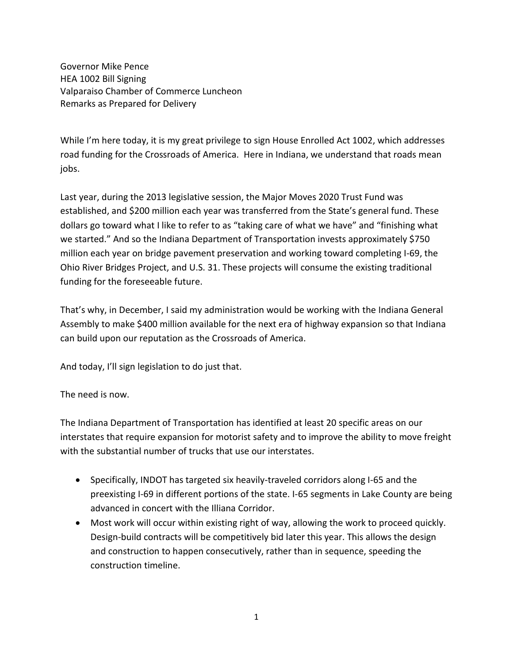Governor Mike Pence HEA 1002 Bill Signing Valparaiso Chamber of Commerce Luncheon Remarks as Prepared for Delivery

While I'm here today, it is my great privilege to sign House Enrolled Act 1002, which addresses road funding for the Crossroads of America. Here in Indiana, we understand that roads mean jobs.

Last year, during the 2013 legislative session, the Major Moves 2020 Trust Fund was established, and \$200 million each year was transferred from the State's general fund. These dollars go toward what I like to refer to as "taking care of what we have" and "finishing what we started." And so the Indiana Department of Transportation invests approximately \$750 million each year on bridge pavement preservation and working toward completing I-69, the Ohio River Bridges Project, and U.S. 31. These projects will consume the existing traditional funding for the foreseeable future.

That's why, in December, I said my administration would be working with the Indiana General Assembly to make \$400 million available for the next era of highway expansion so that Indiana can build upon our reputation as the Crossroads of America.

And today, I'll sign legislation to do just that.

The need is now.

The Indiana Department of Transportation has identified at least 20 specific areas on our interstates that require expansion for motorist safety and to improve the ability to move freight with the substantial number of trucks that use our interstates.

- Specifically, INDOT has targeted six heavily-traveled corridors along I-65 and the preexisting I-69 in different portions of the state. I-65 segments in Lake County are being advanced in concert with the Illiana Corridor.
- Most work will occur within existing right of way, allowing the work to proceed quickly. Design-build contracts will be competitively bid later this year. This allows the design and construction to happen consecutively, rather than in sequence, speeding the construction timeline.